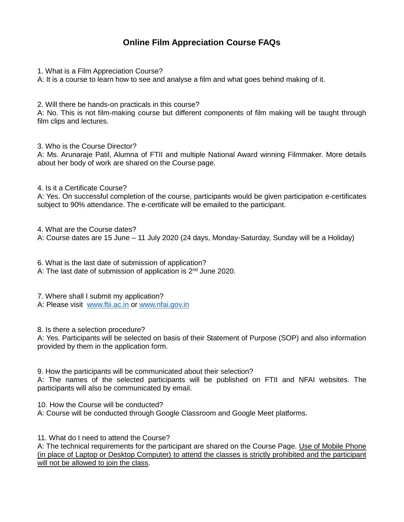## **Online Film Appreciation Course FAQs**

1. What is a Film Appreciation Course?

A: It is a course to learn how to see and analyse a film and what goes behind making of it.

2. Will there be hands-on practicals in this course?

A: No. This is not film-making course but different components of film making will be taught through film clips and lectures.

3. Who is the Course Director?

A: Ms. Arunaraje Patil, Alumna of FTII and multiple National Award winning Filmmaker. More details about her body of work are shared on the Course page.

4. Is it a Certificate Course?

A: Yes. On successful completion of the course, participants would be given participation e-certificates subject to 90% attendance. The e-certificate will be emailed to the participant.

4. What are the Course dates? A: Course dates are 15 June – 11 July 2020 (24 days, Monday-Saturday, Sunday will be a Holiday)

6. What is the last date of submission of application?

A: The last date of submission of application is 2<sup>nd</sup> June 2020.

7. Where shall I submit my application? A: Please visit [www.ftii.ac.in](http://www.ftii.ac.in/) or [www.nfai.gov.in](http://www.nfai.gov.in/)

8. Is there a selection procedure?

A: Yes. Participants will be selected on basis of their Statement of Purpose (SOP) and also information provided by them in the application form.

9. How the participants will be communicated about their selection?

A: The names of the selected participants will be published on FTII and NFAI websites. The participants will also be communicated by email.

10. How the Course will be conducted?

A: Course will be conducted through Google Classroom and Google Meet platforms.

11. What do I need to attend the Course?

A: The technical requirements for the participant are shared on the Course Page. Use of Mobile Phone (in place of Laptop or Desktop Computer) to attend the classes is strictly prohibited and the participant will not be allowed to join the class.